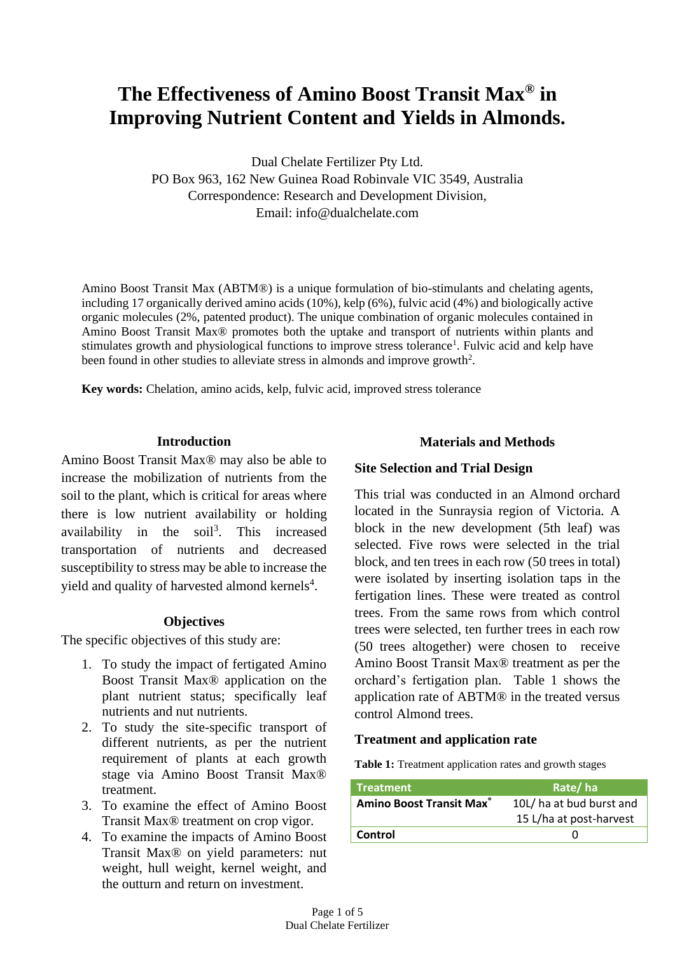# **The Effectiveness of Amino Boost Transit Max® in Improving Nutrient Content and Yields in Almonds.**

Dual Chelate Fertilizer Pty Ltd. PO Box 963, 162 New Guinea Road Robinvale VIC 3549, Australia Correspondence: Research and Development Division, Email: [info@dualchelate.com](mailto:info@dualchelate.com)

Amino Boost Transit Max (ABTM®) is a unique formulation of bio-stimulants and chelating agents, including 17 organically derived amino acids (10%), kelp (6%), fulvic acid (4%) and biologically active organic molecules (2%, patented product). The unique combination of organic molecules contained in Amino Boost Transit Max® promotes both the uptake and transport of nutrients within plants and stimulates growth and physiological functions to improve stress tolerance<sup>1</sup>. Fulvic acid and kelp have been found in other studies to alleviate stress in almonds and improve growth<sup>2</sup>.

**Key words:** Chelation, amino acids, kelp, fulvic acid, improved stress tolerance

## **Introduction**

Amino Boost Transit Max® may also be able to increase the mobilization of nutrients from the soil to the plant, which is critical for areas where there is low nutrient availability or holding availability in the  $\text{soil}^3$ . This increased transportation of nutrients and decreased susceptibility to stress may be able to increase the yield and quality of harvested almond kernels<sup>4</sup>.

## **Objectives**

The specific objectives of this study are:

- 1. To study the impact of fertigated Amino Boost Transit Max® application on the plant nutrient status; specifically leaf nutrients and nut nutrients.
- 2. To study the site-specific transport of different nutrients, as per the nutrient requirement of plants at each growth stage via Amino Boost Transit Max® treatment.
- 3. To examine the effect of Amino Boost Transit Max® treatment on crop vigor.
- 4. To examine the impacts of Amino Boost Transit Max® on yield parameters: nut weight, hull weight, kernel weight, and the outturn and return on investment.

# **Materials and Methods**

# **Site Selection and Trial Design**

This trial was conducted in an Almond orchard located in the Sunraysia region of Victoria. A block in the new development (5th leaf) was selected. Five rows were selected in the trial block, and ten trees in each row (50 trees in total) were isolated by inserting isolation taps in the fertigation lines. These were treated as control trees. From the same rows from which control trees were selected, ten further trees in each row (50 trees altogether) were chosen to receive Amino Boost Transit Max® treatment as per the orchard's fertigation plan. Table 1 shows the application rate of ABTM® in the treated versus control Almond trees.

# **Treatment and application rate**

**Table 1:** Treatment application rates and growth stages

| <b>Treatment</b>                           | Rate/ha                  |  |  |  |  |
|--------------------------------------------|--------------------------|--|--|--|--|
| <b>Amino Boost Transit Max<sup>®</sup></b> | 10L/ ha at bud burst and |  |  |  |  |
|                                            | 15 L/ha at post-harvest  |  |  |  |  |
| Control                                    |                          |  |  |  |  |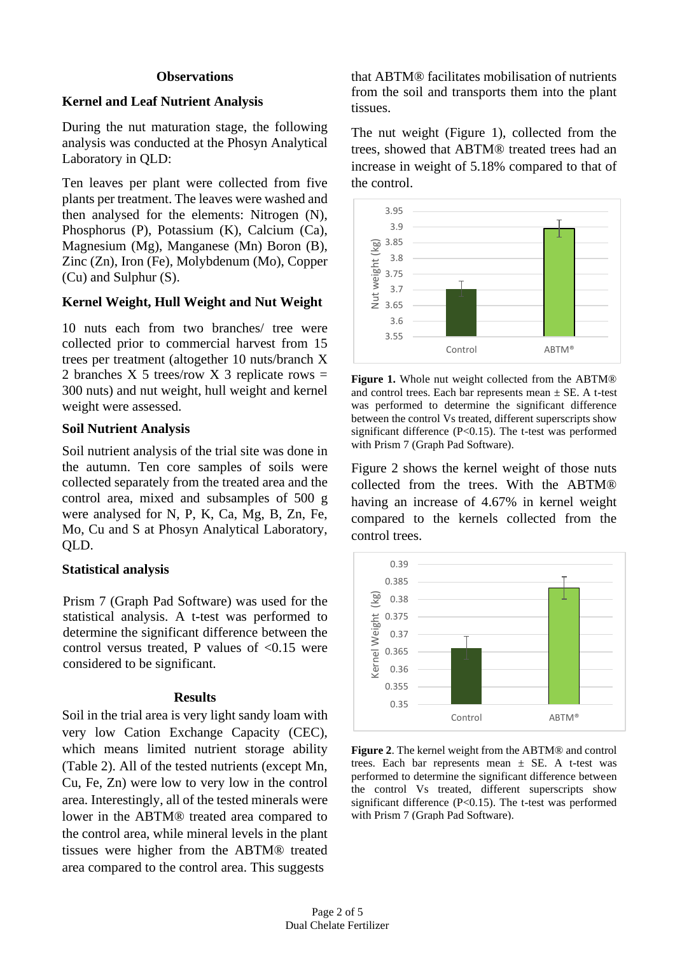#### **Observations**

## **Kernel and Leaf Nutrient Analysis**

During the nut maturation stage, the following analysis was conducted at the Phosyn Analytical Laboratory in QLD:

Ten leaves per plant were collected from five plants per treatment. The leaves were washed and then analysed for the elements: Nitrogen (N), Phosphorus (P), Potassium (K), Calcium (Ca), Magnesium (Mg), Manganese (Mn) Boron (B), Zinc (Zn), Iron (Fe), Molybdenum (Mo), Copper (Cu) and Sulphur (S).

#### **Kernel Weight, Hull Weight and Nut Weight**

10 nuts each from two branches/ tree were collected prior to commercial harvest from 15 trees per treatment (altogether 10 nuts/branch X 2 branches X 5 trees/row X 3 replicate rows  $=$ 300 nuts) and nut weight, hull weight and kernel weight were assessed.

#### **Soil Nutrient Analysis**

Soil nutrient analysis of the trial site was done in the autumn. Ten core samples of soils were collected separately from the treated area and the control area, mixed and subsamples of 500 g were analysed for N, P, K, Ca, Mg, B, Zn, Fe, Mo, Cu and S at Phosyn Analytical Laboratory, QLD.

## **Statistical analysis**

Prism 7 (Graph Pad Software) was used for the statistical analysis. A t-test was performed to determine the significant difference between the control versus treated, P values of  $< 0.15$  were considered to be significant.

#### **Results**

Soil in the trial area is very light sandy loam with very low Cation Exchange Capacity (CEC), which means limited nutrient storage ability (Table 2). All of the tested nutrients (except Mn, Cu, Fe, Zn) were low to very low in the control area. Interestingly, all of the tested minerals were lower in the ABTM® treated area compared to the control area, while mineral levels in the plant tissues were higher from the ABTM® treated area compared to the control area. This suggests

that ABTM® facilitates mobilisation of nutrients from the soil and transports them into the plant tissues.

The nut weight (Figure 1), collected from the trees, showed that ABTM® treated trees had an increase in weight of 5.18% compared to that of the control.



**Figure 1.** Whole nut weight collected from the ABTM® and control trees. Each bar represents mean  $\pm$  SE. A t-test was performed to determine the significant difference between the control Vs treated, different superscripts show significant difference (P<0.15). The t-test was performed with Prism 7 (Graph Pad Software).

Figure 2 shows the kernel weight of those nuts collected from the trees. With the ABTM® having an increase of 4.67% in kernel weight compared to the kernels collected from the control trees.



**Figure 2**. The kernel weight from the ABTM® and control trees. Each bar represents mean  $\pm$  SE. A t-test was performed to determine the significant difference between the control Vs treated, different superscripts show significant difference (P<0.15). The t-test was performed with Prism 7 (Graph Pad Software).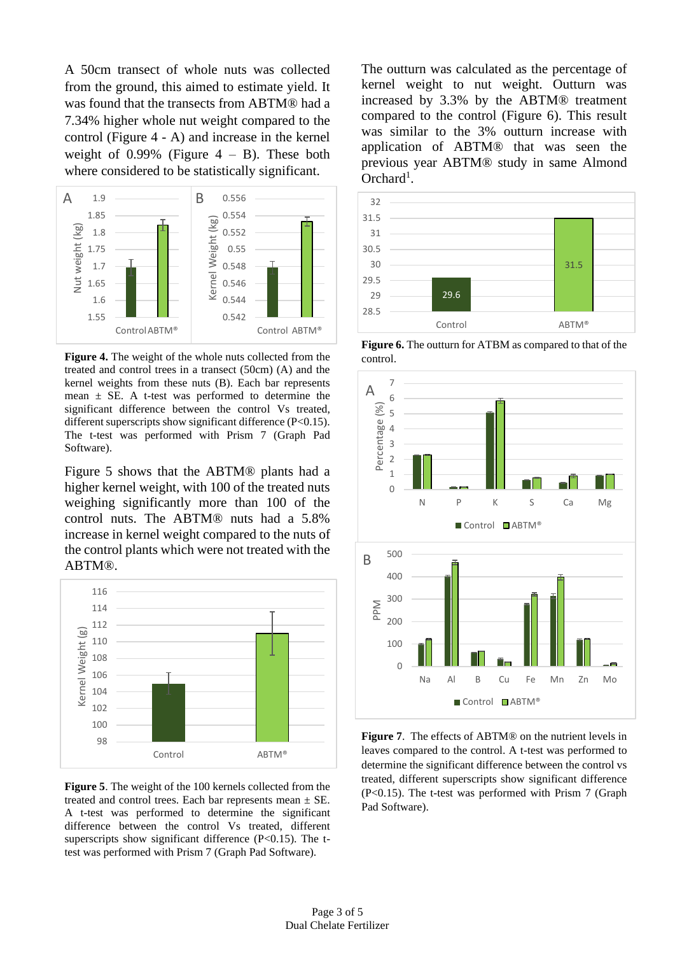A 50cm transect of whole nuts was collected from the ground, this aimed to estimate yield. It was found that the transects from ABTM® had a 7.34% higher whole nut weight compared to the control (Figure 4 - A) and increase in the kernel weight of  $0.99\%$  (Figure  $4 - B$ ). These both where considered to be statistically significant.



**Figure 4.** The weight of the whole nuts collected from the treated and control trees in a transect (50cm) (A) and the kernel weights from these nuts (B). Each bar represents mean  $\pm$  SE. A t-test was performed to determine the significant difference between the control Vs treated, different superscripts show significant difference (P<0.15). The t-test was performed with Prism 7 (Graph Pad Software).

Figure 5 shows that the ABTM® plants had a higher kernel weight, with 100 of the treated nuts weighing significantly more than 100 of the control nuts. The ABTM® nuts had a 5.8% increase in kernel weight compared to the nuts of the control plants which were not treated with the ABTM®.



**Figure 5**. The weight of the 100 kernels collected from the treated and control trees. Each bar represents mean  $\pm$  SE. A t-test was performed to determine the significant difference between the control Vs treated, different superscripts show significant difference  $(P<0.15)$ . The ttest was performed with Prism 7 (Graph Pad Software).

The outturn was calculated as the percentage of kernel weight to nut weight. Outturn was increased by 3.3% by the ABTM® treatment compared to the control (Figure 6). This result was similar to the 3% outturn increase with application of ABTM® that was seen the previous year ABTM® study in same Almond Orchard<sup>1</sup>.



**Figure 6.** The outturn for ATBM as compared to that of the control.



**Figure 7**. The effects of ABTM® on the nutrient levels in leaves compared to the control. A t-test was performed to determine the significant difference between the control vs treated, different superscripts show significant difference (P<0.15). The t-test was performed with Prism 7 (Graph Pad Software).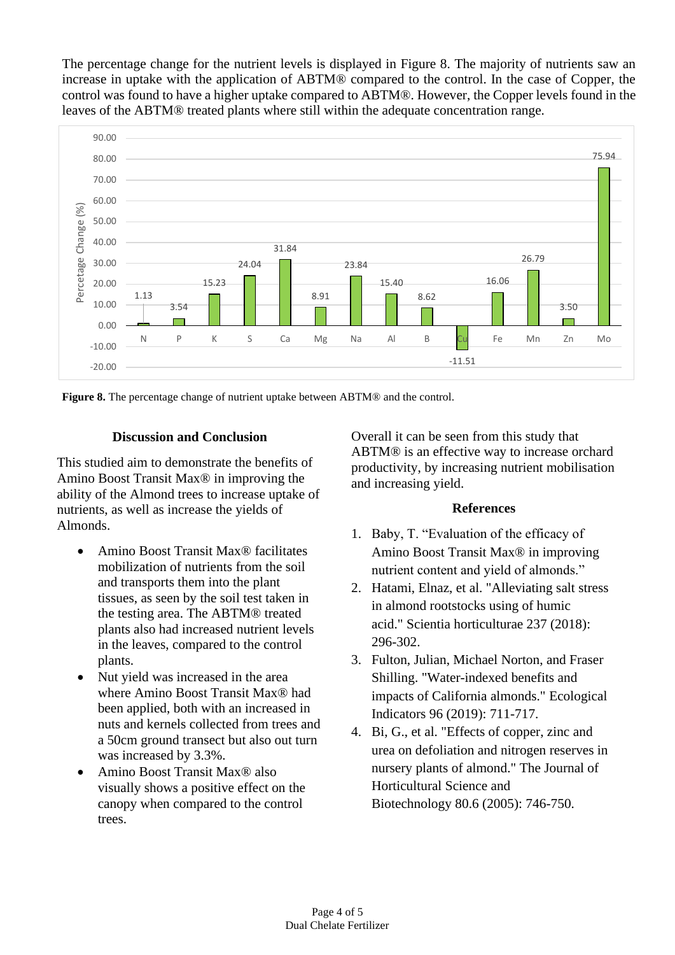The percentage change for the nutrient levels is displayed in Figure 8. The majority of nutrients saw an increase in uptake with the application of ABTM® compared to the control. In the case of Copper, the control was found to have a higher uptake compared to ABTM®. However, the Copper levels found in the leaves of the ABTM® treated plants where still within the adequate concentration range.



**Figure 8.** The percentage change of nutrient uptake between ABTM® and the control.

## **Discussion and Conclusion**

This studied aim to demonstrate the benefits of Amino Boost Transit Max® in improving the ability of the Almond trees to increase uptake of nutrients, as well as increase the yields of Almonds.

- Amino Boost Transit Max® facilitates mobilization of nutrients from the soil and transports them into the plant tissues, as seen by the soil test taken in the testing area. The ABTM® treated plants also had increased nutrient levels in the leaves, compared to the control plants.
- Nut yield was increased in the area where Amino Boost Transit Max® had been applied, both with an increased in nuts and kernels collected from trees and a 50cm ground transect but also out turn was increased by 3.3%.
- canopy when compared to the control • Amino Boost Transit Max<sup>®</sup> also visually shows a positive effect on the trees.

Overall it can be seen from this study that ABTM® is an effective way to increase orchard productivity, by increasing nutrient mobilisation and increasing yield.

#### **References**

- 1. Baby, T. "Evaluation of the efficacy of Amino Boost Transit Max® in improving nutrient content and yield of almonds."
- 2. Hatami, Elnaz, et al. "Alleviating salt stress in almond rootstocks using of humic acid." Scientia horticulturae 237 (2018): 296-302.
- 3. Fulton, Julian, Michael Norton, and Fraser Shilling. "Water-indexed benefits and impacts of California almonds." Ecological Indicators 96 (2019): 711-717.
- 4. Bi, G., et al. "Effects of copper, zinc and urea on defoliation and nitrogen reserves in nursery plants of almond." The Journal of Horticultural Science and Biotechnology 80.6 (2005): 746-750.